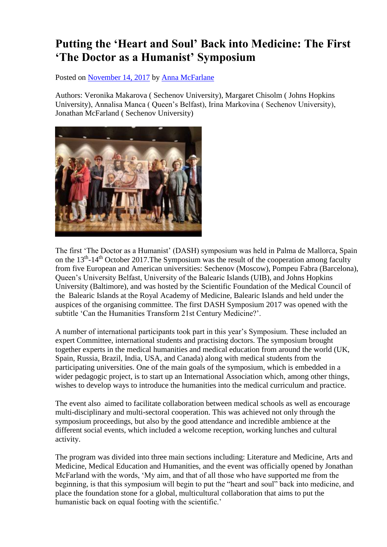## **Putting the 'Heart and Soul' Back into Medicine: The First 'The Doctor as a Humanist' Symposium**

Posted on [November 14, 2017](http://blogs.bmj.com/medical-humanities/2017/11/14/putting-heart-soul-back-medicine-first-doctor-humanist-symposium/) by [Anna McFarlane](http://blogs.bmj.com/medical-humanities/author/amcfarlane/)

Authors: Veronika Makarova ( Sechenov University), Margaret Chisolm ( Johns Hopkins University), Annalisa Manca ( Queen's Belfast), Irina Markovina ( Sechenov University), Jonathan McFarland ( Sechenov University)



The first 'The Doctor as a Humanist' (DASH) symposium was held in Palma de Mallorca, Spain on the 13<sup>th</sup>-14<sup>th</sup> October 2017. The Symposium was the result of the cooperation among faculty from five European and American universities: Sechenov (Moscow), Pompeu Fabra (Barcelona), Queen's University Belfast, University of the Balearic Islands (UIB), and Johns Hopkins University (Baltimore), and was hosted by the Scientific Foundation of the Medical Council of the Balearic Islands at the Royal Academy of Medicine, Balearic Islands and held under the auspices of the organising committee. The first DASH Symposium 2017 was opened with the subtitle 'Can the Humanities Transform 21st Century Medicine?'.

A number of international participants took part in this year's Symposium. These included an expert Committee, international students and practising doctors. The symposium brought together experts in the medical humanities and medical education from around the world (UK, Spain, Russia, Brazil, India, USA, and Canada) along with medical students from the participating universities. One of the main goals of the symposium, which is embedded in a wider pedagogic project, is to start up an International Association which, among other things, wishes to develop ways to introduce the humanities into the medical curriculum and practice.

The event also aimed to facilitate collaboration between medical schools as well as encourage multi-disciplinary and multi-sectoral cooperation. This was achieved not only through the symposium proceedings, but also by the good attendance and incredible ambience at the different social events, which included a welcome reception, working lunches and cultural activity.

The program was divided into three main sections including: Literature and Medicine, Arts and Medicine, Medical Education and Humanities, and the event was officially opened by Jonathan McFarland with the words, 'My aim, and that of all those who have supported me from the beginning, is that this symposium will begin to put the "heart and soul" back into medicine, and place the foundation stone for a global, multicultural collaboration that aims to put the humanistic back on equal footing with the scientific.'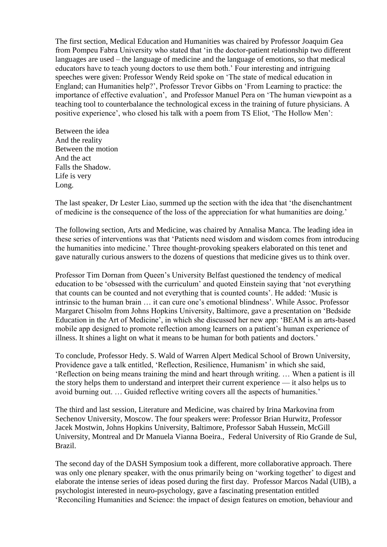The first section, Medical Education and Humanities was chaired by Professor Joaquim Gea from Pompeu Fabra University who stated that 'in the doctor-patient relationship two different languages are used – the language of medicine and the language of emotions, so that medical educators have to teach young doctors to use them both.' Four interesting and intriguing speeches were given: Professor Wendy Reid spoke on 'The state of medical education in England; can Humanities help?', Professor Trevor Gibbs on 'From Learning to practice: the importance of effective evaluation', and Professor Manuel Pera on 'The human viewpoint as a teaching tool to counterbalance the technological excess in the training of future physicians. A positive experience', who closed his talk with a poem from TS Eliot, 'The Hollow Men':

Between the idea And the reality Between the motion And the act Falls the Shadow. Life is very Long.

The last speaker, Dr Lester Liao, summed up the section with the idea that 'the disenchantment of medicine is the consequence of the loss of the appreciation for what humanities are doing.'

The following section, Arts and Medicine, was chaired by Annalisa Manca. The leading idea in these series of interventions was that 'Patients need wisdom and wisdom comes from introducing the humanities into medicine.' Three thought-provoking speakers elaborated on this tenet and gave naturally curious answers to the dozens of questions that medicine gives us to think over.

Professor Tim Dornan from Queen's University Belfast questioned the tendency of medical education to be 'obsessed with the curriculum' and quoted Einstein saying that 'not everything that counts can be counted and not everything that is counted counts'. He added: 'Music is intrinsic to the human brain … it can cure one's emotional blindness'. While Assoc. Professor Margaret Chisolm from Johns Hopkins University, Baltimore, gave a presentation on 'Bedside Education in the Art of Medicine', in which she discussed her new app: 'BEAM is an arts-based mobile app designed to promote reflection among learners on a patient's human experience of illness. It shines a light on what it means to be human for both patients and doctors.'

To conclude, Professor Hedy. S. Wald of Warren Alpert Medical School of Brown University, Providence gave a talk entitled, 'Reflection, Resilience, Humanism' in which she said, 'Reflection on being means training the mind and heart through writing. … When a patient is ill the story helps them to understand and interpret their current experience — it also helps us to avoid burning out. … Guided reflective writing covers all the aspects of humanities.'

The third and last session, Literature and Medicine, was chaired by Irina Markovina from Sechenov University, Moscow. The four speakers were: Professor Brian Hurwitz, Professor Jacek Mostwin, Johns Hopkins University, Baltimore, Professor Sabah Hussein, McGill University, Montreal and Dr Manuela Vianna Boeira., Federal University of Rio Grande de Sul, Brazil.

The second day of the DASH Symposium took a different, more collaborative approach. There was only one plenary speaker, with the onus primarily being on 'working together' to digest and elaborate the intense series of ideas posed during the first day. Professor Marcos Nadal (UIB), a psychologist interested in neuro-psychology, gave a fascinating presentation entitled 'Reconciling Humanities and Science: the impact of design features on emotion, behaviour and